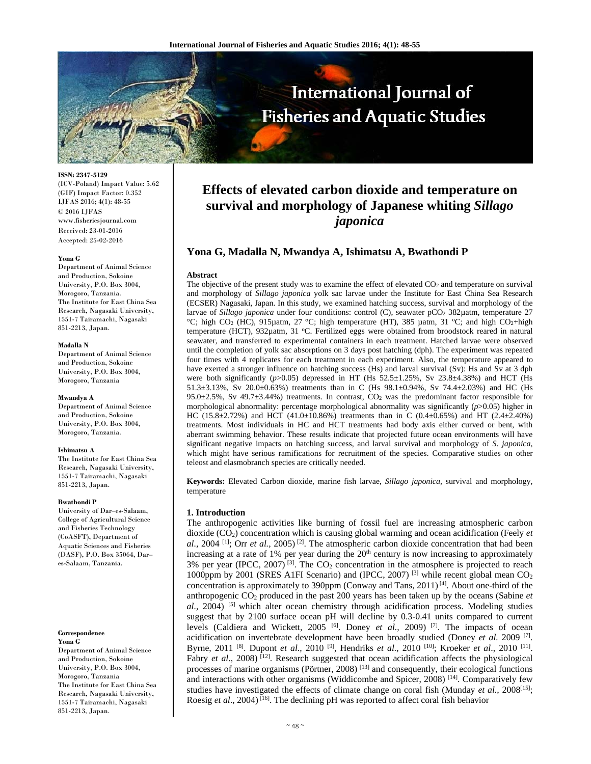

**ISSN: 2347-5129** 

(ICV-Poland) Impact Value: 5.62 (GIF) Impact Factor: 0.352 IJFAS 2016; 4(1): 48-55 © 2016 IJFAS www.fisheriesjournal.com Received: 23-01-2016 Accepted: 25-02-2016

#### **Yona G**

Department of Animal Science and Production, Sokoine University, P.O. Box 3004, Morogoro, Tanzania. The Institute for East China Sea Research, Nagasaki University, 1551-7 Tairamachi, Nagasaki 851-2213, Japan.

#### **Madalla N**

Department of Animal Science and Production, Sokoine University, P.O. Box 3004, Morogoro, Tanzania

#### **Mwandya A**

Department of Animal Science and Production, Sokoine University, P.O. Box 3004, Morogoro, Tanzania.

#### **Ishimatsu A**

The Institute for East China Sea Research, Nagasaki University, 1551-7 Tairamachi, Nagasaki 851-2213, Japan.

#### **Bwathondi P**

University of Dar–es-Salaam, College of Agricultural Science and Fisheries Technology (CoASFT), Department of Aquatic Sciences and Fisheries (DASF), P.O. Box 35064, Dar– es-Salaam, Tanzania.

# **Correspondence**

**Yona G**  Department of Animal Science and Production, Sokoine University, P.O. Box 3004, Morogoro, Tanzania The Institute for East China Sea Research, Nagasaki University, 1551-7 Tairamachi, Nagasaki 851-2213, Japan.

# **Effects of elevated carbon dioxide and temperature on survival and morphology of Japanese whiting** *Sillago japonica*

# **Yona G, Madalla N, Mwandya A, Ishimatsu A, Bwathondi P**

### **Abstract**

The objective of the present study was to examine the effect of elevated CO<sub>2</sub> and temperature on survival and morphology of *Sillago japonica* yolk sac larvae under the Institute for East China Sea Research (ECSER) Nagasaki, Japan. In this study, we examined hatching success, survival and morphology of the larvae of *Sillago japonica* under four conditions: control (C), seawater pCO<sub>2</sub> 382µatm, temperature 27 °C; high CO<sub>2</sub> (HC), 915µatm, 27 °C; high temperature (HT), 385 µatm, 31 °C; and high CO<sub>2</sub>+high temperature (HCT), 932µatm, 31 °C. Fertilized eggs were obtained from broodstock reared in natural seawater, and transferred to experimental containers in each treatment. Hatched larvae were observed until the completion of yolk sac absorptions on 3 days post hatching (dph). The experiment was repeated four times with 4 replicates for each treatment in each experiment. Also, the temperature appeared to have exerted a stronger influence on hatching success (Hs) and larval survival (Sv): Hs and Sv at 3 dph were both significantly  $(p>0.05)$  depressed in HT (Hs  $52.5\pm1.25\%$ , Sv  $23.8\pm4.38\%$ ) and HCT (Hs 51.3±3.13%, Sv 20.0±0.63%) treatments than in C (Hs 98.1±0.94%, Sv 74.4±2.03%) and HC (Hs 95.0±2.5%, Sv 49.7±3.44%) treatments. In contrast, CO2 was the predominant factor responsible for morphological abnormality: percentage morphological abnormality was significantly (*p*>0.05) higher in HC (15.8 $\pm$ 2.72%) and HCT (41.0 $\pm$ 10.86%) treatments than in C (0.4 $\pm$ 0.65%) and HT (2.4 $\pm$ 2.40%) treatments. Most individuals in HC and HCT treatments had body axis either curved or bent, with aberrant swimming behavior. These results indicate that projected future ocean environments will have significant negative impacts on hatching success, and larval survival and morphology of *S. japonica*, which might have serious ramifications for recruitment of the species. Comparative studies on other teleost and elasmobranch species are critically needed.

**Keywords:** Elevated Carbon dioxide, marine fish larvae, *Sillago japonica*, survival and morphology, temperature

# **1. Introduction**

The anthropogenic activities like burning of fossil fuel are increasing atmospheric carbon dioxide (CO2) concentration which is causing global warming and ocean acidification (Feely *et al.,* 2004 [1]; Orr *et al.,* 2005) [2]. The atmospheric carbon dioxide concentration that had been increasing at a rate of  $1\%$  per year during the  $20<sup>th</sup>$  century is now increasing to approximately 3% per year (IPCC, 2007)<sup>[3]</sup>. The  $CO<sub>2</sub>$  concentration in the atmosphere is projected to reach 1000ppm by 2001 (SRES A1FI Scenario) and (IPCC, 2007)<sup>[3]</sup> while recent global mean  $CO<sub>2</sub>$ concentration is approximately to 390ppm (Conway and Tans,  $2011$ )<sup>[4]</sup>. About one-third of the anthropogenic CO2 produced in the past 200 years has been taken up by the oceans (Sabine *et*   $al$ , 2004) <sup>[5]</sup> which alter ocean chemistry through acidification process. Modeling studies suggest that by 2100 surface ocean pH will decline by 0.3-0.41 units compared to current levels (Caldiera and Wickett, 2005 <sup>[6]</sup>. Doney *et al.*, 2009)<sup>[7]</sup>. The impacts of ocean acidification on invertebrate development have been broadly studied (Doney *et al.* 2009 [7]. Byrne, 2011 [8]. Dupont *et al.,* 2010 [9], Hendriks *et al.,* 2010 [10]; Kroeker *et al*., 2010 [11]. Fabry *et al.*, 2008)<sup>[12]</sup>. Research suggested that ocean acidification affects the physiological processes of marine organisms (Pörtner, 2008)<sup>[13]</sup> and consequently, their ecological functions and interactions with other organisms (Widdicombe and Spicer, 2008)<sup>[14]</sup>. Comparatively few studies have investigated the effects of climate change on coral fish (Munday *et al.,* 2008[15]; Roesig *et al*., 2004) [16]. The declining pH was reported to affect coral fish behavior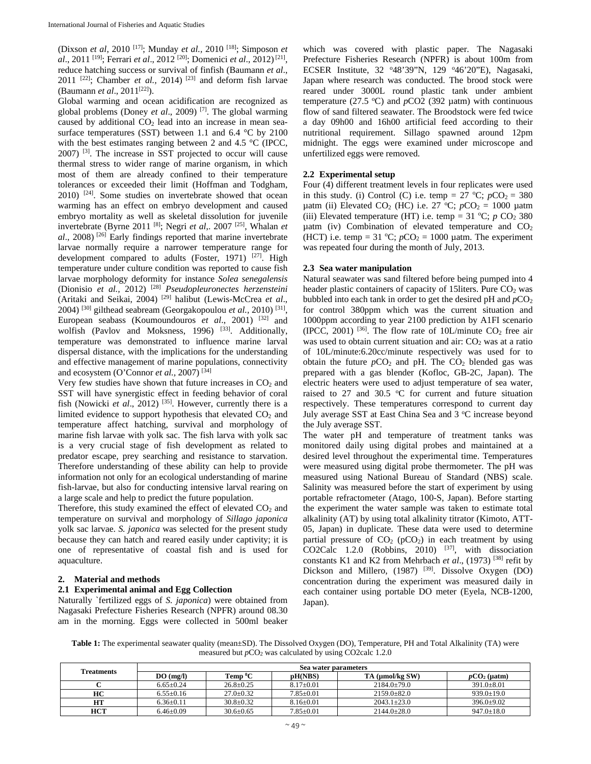(Dixson *et al*, 2010 [17]; Munday *et al.,* 2010 [18]; Simposon *et al*., 2011 [19]; Ferrari *et al*., 2012 [20]; Domenici *et al*., 2012) [21], reduce hatching success or survival of finfish (Baumann *et al*., 2011 [22]; Chamber *et al.,* 2014) [23] and deform fish larvae (Baumann *et al.*, 2011<sup>[22]</sup>).

Global warming and ocean acidification are recognized as global problems (Doney *et al*., 2009) [7]. The global warming caused by additional  $CO<sub>2</sub>$  lead into an increase in mean seasurface temperatures (SST) between 1.1 and 6.4 °C by 2100 with the best estimates ranging between 2 and 4.5 °C (IPCC, 2007) [3]. The increase in SST projected to occur will cause thermal stress to wider range of marine organism, in which most of them are already confined to their temperature tolerances or exceeded their limit (Hoffman and Todgham,  $2010$ ) <sup>[24]</sup>. Some studies on invertebrate showed that ocean warming has an effect on embryo development and caused embryo mortality as well as skeletal dissolution for juvenile invertebrate (Byrne 2011 [8]; Negri *et al*,. 2007 [25], Whalan *et al*., 2008) [26] Early findings reported that marine invertebrate larvae normally require a narrower temperature range for development compared to adults (Foster, 1971)  $[27]$ . High temperature under culture condition was reported to cause fish larvae morphology deformity for instance *Solea senegalensis*  (Dionisio *et al.,* 2012) [28] *Pseudopleuronectes herzensteini* (Aritaki and Seikai, 2004) [29] halibut (Lewis-McCrea *et al*., 2004) [30] gilthead seabream (Georgakopoulou *et al.,* 2010) [31], European seabass (Koumoundouros *et al.*, 2001)<sup>[32]</sup> and wolfish (Pavlov and Moksness, 1996)  $^{[33]}$ . Additionally, temperature was demonstrated to influence marine larval dispersal distance, with the implications for the understanding and effective management of marine populations, connectivity and ecosystem (O'Connor *et al.,* 2007) [34]

Very few studies have shown that future increases in  $CO<sub>2</sub>$  and SST will have synergistic effect in feeding behavior of coral fish (Nowicki *et al.*, 2012)<sup>[35]</sup>. However, currently there is a limited evidence to support hypothesis that elevated  $CO<sub>2</sub>$  and temperature affect hatching, survival and morphology of marine fish larvae with yolk sac. The fish larva with yolk sac is a very crucial stage of fish development as related to predator escape, prey searching and resistance to starvation. Therefore understanding of these ability can help to provide information not only for an ecological understanding of marine fish-larvae, but also for conducting intensive larval rearing on a large scale and help to predict the future population.

Therefore, this study examined the effect of elevated  $CO<sub>2</sub>$  and temperature on survival and morphology of *Sillago japonica* yolk sac larvae. *S. japonica* was selected for the present study because they can hatch and reared easily under captivity; it is one of representative of coastal fish and is used for aquaculture.

### **2. Material and methods**

### **2.1 Experimental animal and Egg Collection**

Naturally `fertilized eggs of *S. japonica*) were obtained from Nagasaki Prefecture Fisheries Research (NPFR) around 08.30 am in the morning. Eggs were collected in 500ml beaker which was covered with plastic paper. The Nagasaki Prefecture Fisheries Research (NPFR) is about 100m from ECSER Institute, 32 °48'39"N, 129 °46'20"E), Nagasaki, Japan where research was conducted. The brood stock were reared under 3000L round plastic tank under ambient temperature  $(27.5 \text{ °C})$  and  $p$ CO2 (392  $\mu$ atm) with continuous flow of sand filtered seawater. The Broodstock were fed twice a day 09h00 and 16h00 artificial feed according to their nutritional requirement. Sillago spawned around 12pm midnight. The eggs were examined under microscope and unfertilized eggs were removed.

## **2.2 Experimental setup**

Four (4) different treatment levels in four replicates were used in this study. (i) Control (C) i.e. temp =  $27 \text{ °C}$ ;  $pCO_2 = 380$  $\mu$ atm (ii) Elevated CO<sub>2</sub> (HC) i.e. 27 °C;  $pCO_2 = 1000 \mu$ atm (iii) Elevated temperature (HT) i.e. temp =  $31 °C$ ;  $p CO<sub>2</sub> 380$ uatm (iv) Combination of elevated temperature and  $CO<sub>2</sub>$ (HCT) i.e. temp = 31 °C;  $pCO_2 = 1000$  µatm. The experiment was repeated four during the month of July, 2013.

### **2.3 Sea water manipulation**

Natural seawater was sand filtered before being pumped into 4 header plastic containers of capacity of 15 liters. Pure  $CO<sub>2</sub>$  was bubbled into each tank in order to get the desired  $pH$  and  $pCO<sub>2</sub>$ for control 380ppm which was the current situation and 1000ppm according to year 2100 prediction by A1FI scenario (IPCC, 2001) <sup>[36]</sup>. The flow rate of 10L/minute  $CO<sub>2</sub>$  free air was used to obtain current situation and air:  $CO<sub>2</sub>$  was at a ratio of 10L/minute:6.20cc/minute respectively was used for to obtain the future  $pCO<sub>2</sub>$  and pH. The  $CO<sub>2</sub>$  blended gas was prepared with a gas blender (Kofloc, GB-2C, Japan). The electric heaters were used to adjust temperature of sea water, raised to 27 and 30.5  $\degree$ C for current and future situation respectively. These temperatures correspond to current day July average SST at East China Sea and 3 °C increase beyond the July average SST.

The water pH and temperature of treatment tanks was monitored daily using digital probes and maintained at a desired level throughout the experimental time. Temperatures were measured using digital probe thermometer. The pH was measured using National Bureau of Standard (NBS) scale. Salinity was measured before the start of experiment by using portable refractometer (Atago, 100-S, Japan). Before starting the experiment the water sample was taken to estimate total alkalinity (AT) by using total alkalinity titrator (Kimoto, ATT-05, Japan) in duplicate. These data were used to determine partial pressure of  $CO<sub>2</sub>$  (pCO<sub>2</sub>) in each treatment by using CO2Calc 1.2.0 (Robbins, 2010)  $^{[37]}$ , with dissociation constants K1 and K2 from Mehrbach *et al*., (1973) [38] refit by Dickson and Millero, (1987) <sup>[39]</sup>. Dissolve Oxygen (DO) concentration during the experiment was measured daily in each container using portable DO meter (Eyela, NCB-1200, Japan).

**Table 1:** The experimental seawater quality (mean $\pm$ SD). The Dissolved Oxygen (DO), Temperature, PH and Total Alkalinity (TA) were measured but *p*CO2 was calculated by using CO2calc 1.2.0

| <b>Treatments</b> | Sea water parameters |                 |               |                 |                  |
|-------------------|----------------------|-----------------|---------------|-----------------|------------------|
|                   | DO(mg/l)             | Temp ºC         | pH(NBS)       | TA (µmol/kg SW) | $pCO2$ (µatm)    |
| ◡                 | $6.65+0.24$          | $26.8 + 0.25$   | $8.17+0.01$   | $2184.0+79.0$   | $391.0 + 8.01$   |
| HC                | $6.55+0.16$          | $27.0 \pm 0.32$ | $7.85+0.01$   | $2159.0+82.0$   | $939.0 + 19.0$   |
| HТ                | $6.36+0.11$          | $30.8 + 0.32$   | $8.16 + 0.01$ | $2043.1+23.0$   | $396.0+9.02$     |
| <b>HCT</b>        | $6.46+0.09$          | $30.6 \pm 0.65$ | $7.85+0.01$   | $2144.0+28.0$   | $947.0 \pm 18.0$ |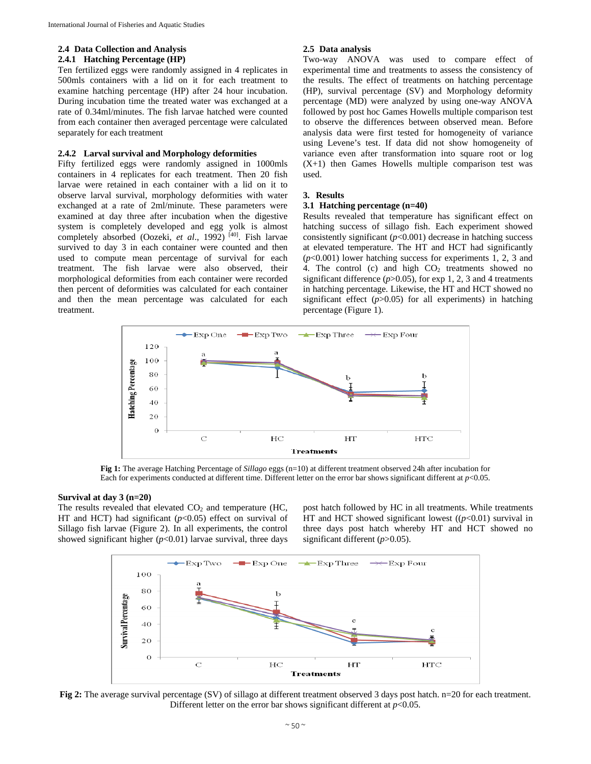# **2.4 Data Collection and Analysis**

### **2.4.1 Hatching Percentage (HP)**

Ten fertilized eggs were randomly assigned in 4 replicates in 500mls containers with a lid on it for each treatment to examine hatching percentage (HP) after 24 hour incubation. During incubation time the treated water was exchanged at a rate of 0.34ml/minutes. The fish larvae hatched were counted from each container then averaged percentage were calculated separately for each treatment

### **2.4.2 Larval survival and Morphology deformities**

Fifty fertilized eggs were randomly assigned in 1000mls containers in 4 replicates for each treatment. Then 20 fish larvae were retained in each container with a lid on it to observe larval survival, morphology deformities with water exchanged at a rate of 2ml/minute. These parameters were examined at day three after incubation when the digestive system is completely developed and egg yolk is almost completely absorbed (Oozeki, *et al.*, 1992)<sup>[40]</sup>. Fish larvae survived to day 3 in each container were counted and then used to compute mean percentage of survival for each treatment. The fish larvae were also observed, their morphological deformities from each container were recorded then percent of deformities was calculated for each container and then the mean percentage was calculated for each treatment.

## **2.5 Data analysis**

Two-way ANOVA was used to compare effect of experimental time and treatments to assess the consistency of the results. The effect of treatments on hatching percentage (HP), survival percentage (SV) and Morphology deformity percentage (MD) were analyzed by using one-way ANOVA followed by post hoc Games Howells multiple comparison test to observe the differences between observed mean. Before analysis data were first tested for homogeneity of variance using Levene's test. If data did not show homogeneity of variance even after transformation into square root or log (X+1) then Games Howells multiple comparison test was used.

# **3. Results**

# **3.1 Hatching percentage (n=40)**

Results revealed that temperature has significant effect on hatching success of sillago fish. Each experiment showed consistently significant  $(p<0.001)$  decrease in hatching success at elevated temperature. The HT and HCT had significantly (*p*<0.001) lower hatching success for experiments 1, 2, 3 and 4. The control (c) and high  $CO<sub>2</sub>$  treatments showed no significant difference  $(p>0.05)$ , for exp 1, 2, 3 and 4 treatments in hatching percentage. Likewise, the HT and HCT showed no significant effect  $(p>0.05)$  for all experiments) in hatching percentage (Figure 1).



**Fig 1:** The average Hatching Percentage of *Sillago* eggs (n=10) at different treatment observed 24h after incubation for Each for experiments conducted at different time. Different letter on the error bar shows significant different at *p*<0.05.

### **Survival at day 3 (n=20)**

The results revealed that elevated  $CO<sub>2</sub>$  and temperature (HC, HT and HCT) had significant ( $p<0.05$ ) effect on survival of Sillago fish larvae (Figure 2). In all experiments, the control showed significant higher  $(p<0.01)$  larvae survival, three days

post hatch followed by HC in all treatments. While treatments HT and HCT showed significant lowest  $((p<0.01)$  survival in three days post hatch whereby HT and HCT showed no significant different ( $p$ >0.05).



**Fig 2:** The average survival percentage (SV) of sillago at different treatment observed 3 days post hatch. n=20 for each treatment. Different letter on the error bar shows significant different at  $p<0.05$ .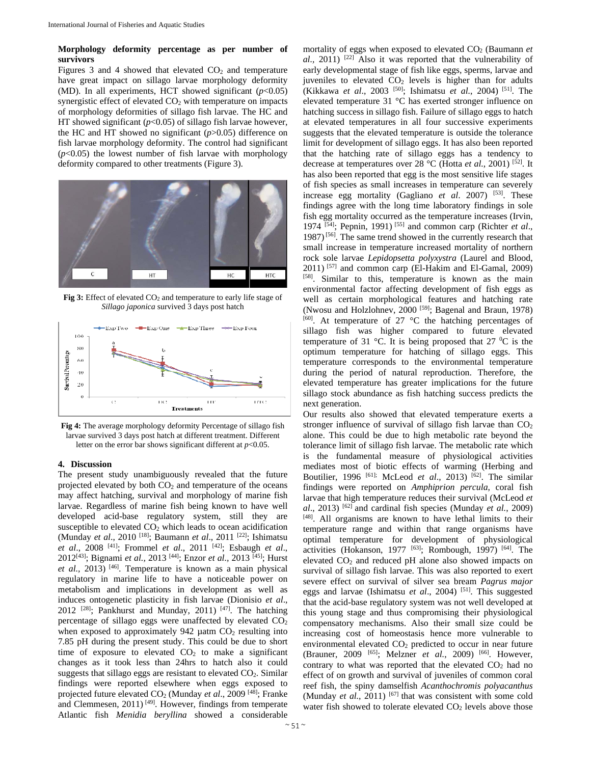### **Morphology deformity percentage as per number of survivors**

Figures 3 and 4 showed that elevated  $CO<sub>2</sub>$  and temperature have great impact on sillago larvae morphology deformity (MD). In all experiments, HCT showed significant (*p*<0.05) synergistic effect of elevated  $CO<sub>2</sub>$  with temperature on impacts of morphology deformities of sillago fish larvae. The HC and HT showed significant  $(p<0.05)$  of sillago fish larvae however, the HC and HT showed no significant (*p*>0.05) difference on fish larvae morphology deformity. The control had significant (*p*<0.05) the lowest number of fish larvae with morphology deformity compared to other treatments (Figure 3).



Fig 3: Effect of elevated CO<sub>2</sub> and temperature to early life stage of *Sillago japonica* survived 3 days post hatch



**Fig 4:** The average morphology deformity Percentage of sillago fish larvae survived 3 days post hatch at different treatment. Different letter on the error bar shows significant different at  $p<0.05$ .

### **4. Discussion**

The present study unambiguously revealed that the future projected elevated by both  $CO<sub>2</sub>$  and temperature of the oceans may affect hatching, survival and morphology of marine fish larvae. Regardless of marine fish being known to have well developed acid-base regulatory system, still they are susceptible to elevated  $CO<sub>2</sub>$  which leads to ocean acidification (Munday *et al*., 2010 [18]; Baumann *et al*., 2011 [22]; Ishimatsu *et al*., 2008 [41]; Frommel *et al*., 2011 [42]; Esbaugh *et al*., 2012[43]; Bignami *et al.,* 2013 [44]; Enzor *et al.,* 2013 [45]; Hurst *et al.,* 2013) [46]. Temperature is known as a main physical regulatory in marine life to have a noticeable power on metabolism and implications in development as well as induces ontogenetic plasticity in fish larvae (Dionisio *et al*., 2012 [28]; Pankhurst and Munday, 2011) [47]. The hatching percentage of sillago eggs were unaffected by elevated  $CO<sub>2</sub>$ when exposed to approximately  $942 \mu$ atm  $CO<sub>2</sub>$  resulting into 7.85 pH during the present study. This could be due to short time of exposure to elevated  $CO<sub>2</sub>$  to make a significant changes as it took less than 24hrs to hatch also it could suggests that sillago eggs are resistant to elevated CO2. Similar findings were reported elsewhere when eggs exposed to projected future elevated CO2 (Munday *et al*., 2009 [48]; Franke and Clemmesen, 2011) [49]. However, findings from temperate Atlantic fish *Menidia beryllina* showed a considerable

mortality of eggs when exposed to elevated CO<sub>2</sub> (Baumann *et al.,* 2011) [22] Also it was reported that the vulnerability of early developmental stage of fish like eggs, sperms, larvae and juveniles to elevated  $CO<sub>2</sub>$  levels is higher than for adults (Kikkawa *et al.*, 2003<sup>[50]</sup>; Ishimatsu *et al.*, 2004)<sup>[51]</sup>. The elevated temperature 31 °C has exerted stronger influence on hatching success in sillago fish. Failure of sillago eggs to hatch at elevated temperatures in all four successive experiments suggests that the elevated temperature is outside the tolerance limit for development of sillago eggs. It has also been reported that the hatching rate of sillago eggs has a tendency to decrease at temperatures over 28 °C (Hotta *et al.*, 2001) [52]. It has also been reported that egg is the most sensitive life stages of fish species as small increases in temperature can severely increase egg mortality (Gagliano *et al*. 2007) [53]. These findings agree with the long time laboratory findings in sole fish egg mortality occurred as the temperature increases (Irvin, 1974 [54]; Pepnin, 1991) [55] and common carp (Richter *et al*., 1987) [56]. The same trend showed in the currently research that small increase in temperature increased mortality of northern rock sole larvae *Lepidopsetta polyxystra* (Laurel and Blood,  $2011$ ) <sup>[57]</sup> and common carp (El-Hakim and El-Gamal, 2009) [58]. Similar to this, temperature is known as the main environmental factor affecting development of fish eggs as well as certain morphological features and hatching rate (Nwosu and Holzlohnev, 2000<sup>[59]</sup>; Bagenal and Braun, 1978)  $[60]$ . At temperature of 27 °C the hatching percentages of sillago fish was higher compared to future elevated temperature of 31 °C. It is being proposed that 27 °C is the optimum temperature for hatching of sillago eggs. This temperature corresponds to the environmental temperature during the period of natural reproduction. Therefore, the elevated temperature has greater implications for the future sillago stock abundance as fish hatching success predicts the next generation.

Our results also showed that elevated temperature exerts a stronger influence of survival of sillago fish larvae than  $CO<sub>2</sub>$ alone. This could be due to high metabolic rate beyond the tolerance limit of sillago fish larvae. The metabolic rate which is the fundamental measure of physiological activities mediates most of biotic effects of warming (Herbing and Boutilier, 1996 <sup>[61];</sup> McLeod *et al.*, 2013) <sup>[62]</sup>. The similar findings were reported on *Amphiprion percula*, coral fish larvae that high temperature reduces their survival (McLeod *et al*., 2013) [62] and cardinal fish species (Munday *et al.*, 2009) [48]. All organisms are known to have lethal limits to their temperature range and within that range organisms have optimal temperature for development of physiological activities (Hokanson, 1977  $[63]$ ; Rombough, 1997)  $[64]$ . The elevated  $CO<sub>2</sub>$  and reduced pH alone also showed impacts on survival of sillago fish larvae. This was also reported to exert severe effect on survival of silver sea bream *Pagrus major* eggs and larvae (Ishimatsu *et al*., 2004) [51]. This suggested that the acid-base regulatory system was not well developed at this young stage and thus compromising their physiological compensatory mechanisms. Also their small size could be increasing cost of homeostasis hence more vulnerable to environmental elevated  $CO<sub>2</sub>$  predicted to occur in near future (Brauner, 2009 [65]; Melzner *et al.*, 2009) [66]. However, contrary to what was reported that the elevated  $CO<sub>2</sub>$  had no effect of on growth and survival of juveniles of common coral reef fish, the spiny damselfish *Acanthochromis polyacanthus*  (Munday *et al.*, 2011)  $[67]$  that was consistent with some cold water fish showed to tolerate elevated  $CO<sub>2</sub>$  levels above those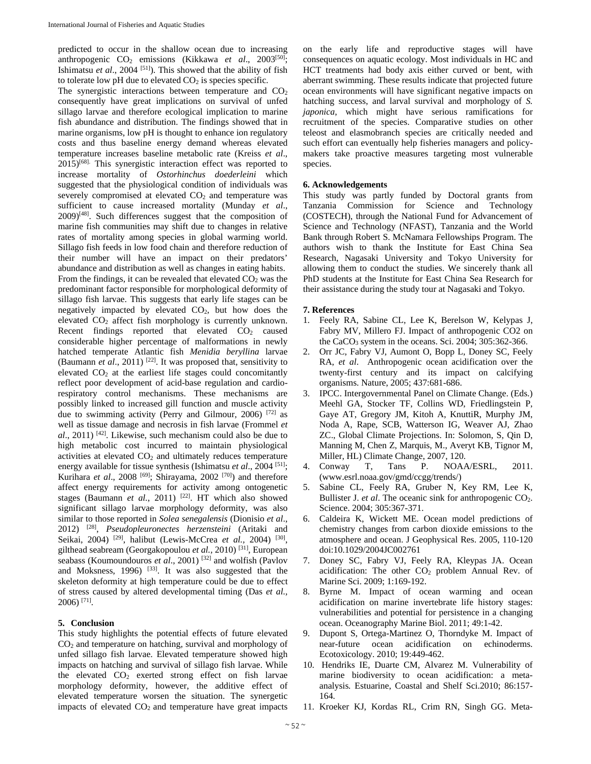predicted to occur in the shallow ocean due to increasing anthropogenic CO<sub>2</sub> emissions (Kikkawa *et al.*, 2003<sup>[50]</sup>; Ishimatsu *et al*., 2004 [51]). This showed that the ability of fish to tolerate low pH due to elevated  $CO<sub>2</sub>$  is species specific.

The synergistic interactions between temperature and  $CO<sub>2</sub>$ consequently have great implications on survival of unfed sillago larvae and therefore ecological implication to marine fish abundance and distribution. The findings showed that in marine organisms, low pH is thought to enhance ion regulatory costs and thus baseline energy demand whereas elevated temperature increases baseline metabolic rate (Kreiss *et al*., 2015)[68]. This synergistic interaction effect was reported to increase mortality of *Ostorhinchus doederleini* which suggested that the physiological condition of individuals was severely compromised at elevated  $CO<sub>2</sub>$  and temperature was sufficient to cause increased mortality (Munday *et al*.,  $2009$ <sup>[48]</sup>. Such differences suggest that the composition of marine fish communities may shift due to changes in relative rates of mortality among species in global warming world. Sillago fish feeds in low food chain and therefore reduction of their number will have an impact on their predators' abundance and distribution as well as changes in eating habits. From the findings, it can be revealed that elevated  $CO<sub>2</sub>$  was the predominant factor responsible for morphological deformity of sillago fish larvae. This suggests that early life stages can be negatively impacted by elevated  $CO<sub>2</sub>$ , but how does the elevated  $CO<sub>2</sub>$  affect fish morphology is currently unknown. Recent findings reported that elevated  $CO<sub>2</sub>$  caused considerable higher percentage of malformations in newly hatched temperate Atlantic fish *Menidia beryllina* larvae (Baumann *et al*., 2011) [22]. It was proposed that, sensitivity to elevated  $CO<sub>2</sub>$  at the earliest life stages could concomitantly reflect poor development of acid-base regulation and cardiorespiratory control mechanisms. These mechanisms are possibly linked to increased gill function and muscle activity due to swimming activity (Perry and Gilmour, 2006) [72] as well as tissue damage and necrosis in fish larvae (Frommel *et al*., 2011) [42]. Likewise, such mechanism could also be due to high metabolic cost incurred to maintain physiological activities at elevated  $CO<sub>2</sub>$  and ultimately reduces temperature energy available for tissue synthesis (Ishimatsu *et al.*, 2004<sup>[51]</sup>; Kurihara *et al.*, 2008<sup>[69]</sup>; Shirayama, 2002<sup>[70]</sup>) and therefore affect energy requirements for activity among ontogenetic stages (Baumann et al., 2011)<sup>[22]</sup>. HT which also showed significant sillago larvae morphology deformity, was also similar to those reported in *Solea senegalensis* (Dionisio *et al*., 2012) [28], *Pseudopleuronectes herzensteini* (Aritaki and Seikai, 2004) <sup>[29]</sup>, halibut (Lewis-McCrea et al., 2004) <sup>[30]</sup>, gilthead seabream (Georgakopoulou *et al.,* 2010) [31], European seabass (Koumoundouros *et al.*, 2001)<sup>[32]</sup> and wolfish (Pavlov and Moksness, 1996)  $[33]$ . It was also suggested that the skeleton deformity at high temperature could be due to effect of stress caused by altered developmental timing (Das *et al.,*  $2006$ ) <sup>[71]</sup>.

### **5. Conclusion**

This study highlights the potential effects of future elevated  $CO<sub>2</sub>$  and temperature on hatching, survival and morphology of unfed sillago fish larvae. Elevated temperature showed high impacts on hatching and survival of sillago fish larvae. While the elevated  $CO<sub>2</sub>$  exerted strong effect on fish larvae morphology deformity, however, the additive effect of elevated temperature worsen the situation. The synergetic impacts of elevated  $CO<sub>2</sub>$  and temperature have great impacts

on the early life and reproductive stages will have consequences on aquatic ecology. Most individuals in HC and HCT treatments had body axis either curved or bent, with aberrant swimming. These results indicate that projected future ocean environments will have significant negative impacts on hatching success, and larval survival and morphology of *S. japonica*, which might have serious ramifications for recruitment of the species. Comparative studies on other teleost and elasmobranch species are critically needed and such effort can eventually help fisheries managers and policymakers take proactive measures targeting most vulnerable species.

### **6. Acknowledgements**

This study was partly funded by Doctoral grants from Tanzania Commission for Science and Technology (COSTECH), through the National Fund for Advancement of Science and Technology (NFAST), Tanzania and the World Bank through Robert S. McNamara Fellowships Program. The authors wish to thank the Institute for East China Sea Research, Nagasaki University and Tokyo University for allowing them to conduct the studies. We sincerely thank all PhD students at the Institute for East China Sea Research for their assistance during the study tour at Nagasaki and Tokyo.

#### **7. References**

- 1. Feely RA, Sabine CL, Lee K, Berelson W, Kelypas J, Fabry MV, Millero FJ. Impact of anthropogenic CO2 on the CaCO<sub>3</sub> system in the oceans. Sci. 2004:  $305:362-366$ .
- 2. Orr JC, Fabry VJ, Aumont O, Bopp L, Doney SC, Feely RA, *et al*. Anthropogenic ocean acidification over the twenty-first century and its impact on calcifying organisms. Nature, 2005; 437:681-686.
- 3. IPCC. Intergovernmental Panel on Climate Change. (Eds.) Meehl GA, Stocker TF, Collins WD, Friedlingstein P, Gaye AT, Gregory JM, Kitoh A, KnuttiR, Murphy JM, Noda A, Rape, SCB, Watterson IG, Weaver AJ, Zhao ZC., Global Climate Projections. In: Solomon, S, Qin D, Manning M, Chen Z, Marquis, M., Averyt KB, Tignor M, Miller, HL) Climate Change, 2007, 120.
- 4. Conway T, Tans P. NOAA/ESRL, 2011. (www.esrl.noaa.gov/gmd/ccgg/trends/)
- 5. Sabine CL, Feely RA, Gruber N, Key RM, Lee K, Bullister J. *et al*. The oceanic sink for anthropogenic CO<sub>2</sub>. Science. 2004; 305:367-371.
- 6. Caldeira K, Wickett ME. Ocean model predictions of chemistry changes from carbon dioxide emissions to the atmosphere and ocean. J Geophysical Res. 2005, 110-120 doi:10.1029/2004JC002761
- 7. Doney SC, Fabry VJ, Feely RA, Kleypas JA. Ocean acidification: The other  $CO<sub>2</sub>$  problem Annual Rev. of Marine Sci. 2009; 1:169-192.
- 8. Byrne M. Impact of ocean warming and ocean acidification on marine invertebrate life history stages: vulnerabilities and potential for persistence in a changing ocean. Oceanography Marine Biol. 2011; 49:1-42.
- 9. Dupont S, Ortega-Martinez O, Thorndyke M. Impact of near-future ocean acidification on echinoderms. Ecotoxicology. 2010; 19:449-462.
- 10. Hendriks IE*,* Duarte CM, Alvarez M. Vulnerability of marine biodiversity to ocean acidification: a metaanalysis*.* Estuarine, Coastal and Shelf Sci.2010; 86:157- 164*.*
- 11. Kroeker KJ, Kordas RL, Crim RN, Singh GG. Meta-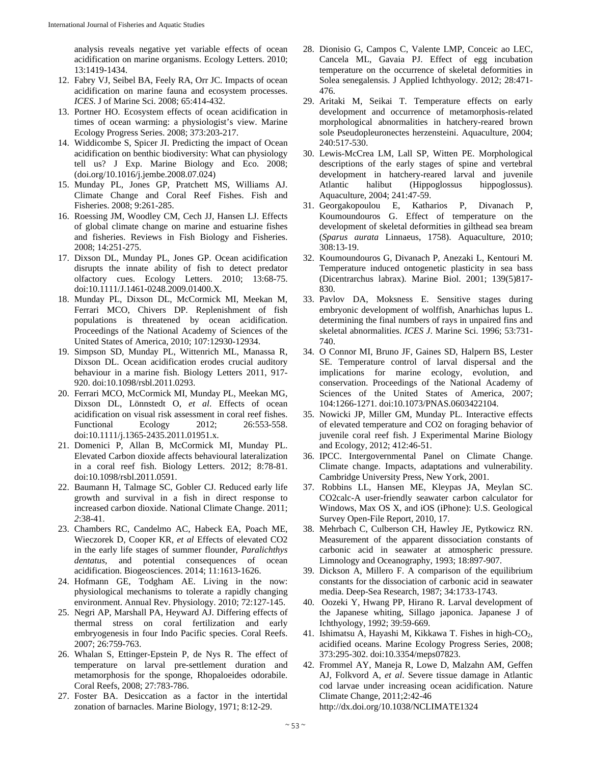analysis reveals negative yet variable effects of ocean acidification on marine organisms. Ecology Letters. 2010; 13:1419-1434.

- 12. Fabry VJ, Seibel BA, Feely RA, Orr JC. Impacts of ocean acidification on marine fauna and ecosystem processes. *ICES*. J of Marine Sci. 2008; 65:414-432.
- 13. Portner HO. Ecosystem effects of ocean acidification in times of ocean warming: a physiologist's view. Marine Ecology Progress Series. 2008; 373:203-217.
- 14. Widdicombe S, Spicer JI. Predicting the impact of Ocean acidification on benthic biodiversity: What can physiology tell us? J Exp. Marine Biology and Eco. 2008; (doi.org/10.1016/j.jembe.2008.07.024)
- 15. Munday PL, Jones GP, Pratchett MS, Williams AJ. Climate Change and Coral Reef Fishes. Fish and Fisheries. 2008; 9:261-285.
- 16. Roessing JM, Woodley CM, Cech JJ, Hansen LJ. Effects of global climate change on marine and estuarine fishes and fisheries. Reviews in Fish Biology and Fisheries. 2008; 14:251-275.
- 17. Dixson DL, Munday PL, Jones GP. Ocean acidification disrupts the innate ability of fish to detect predator olfactory cues. Ecology Letters. 2010; 13:68-75. doi:10.1111/J.1461-0248.2009.01400.X.
- 18. Munday PL, Dixson DL, McCormick MI, Meekan M, Ferrari MCO, Chivers DP. Replenishment of fish populations is threatened by ocean acidification. Proceedings of the National Academy of Sciences of the United States of America, 2010; 107:12930-12934.
- 19. Simpson SD, Munday PL, Wittenrich ML, Manassa R, Dixson DL. Ocean acidification erodes crucial auditory behaviour in a marine fish. Biology Letters 2011, 917- 920. doi:10.1098/rsbl.2011.0293.
- 20. Ferrari MCO, McCormick MI, Munday PL, Meekan MG, Dixson DL, Lönnstedt O, *et al*. Effects of ocean acidification on visual risk assessment in coral reef fishes. Functional Ecology 2012; 26:553-558. doi:10.1111/j.1365-2435.2011.01951.x.
- 21. Domenici P, Allan B, McCormick MI, Munday PL. Elevated Carbon dioxide affects behavioural lateralization in a coral reef fish. Biology Letters. 2012; 8:78-81. doi:10.1098/rsbl.2011.0591.
- 22. Baumann H, Talmage SC, Gobler CJ. Reduced early life growth and survival in a fish in direct response to increased carbon dioxide. National Climate Change. 2011; *2*:38-41.
- 23. Chambers RC, Candelmo AC, Habeck EA, Poach ME, Wieczorek D, Cooper KR, *et al* Effects of elevated CO2 in the early life stages of summer flounder, *Paralichthys dentatus*, and potential consequences of ocean acidification. Biogeosciences. 2014; 11:1613-1626.
- 24. Hofmann GE, Todgham AE. Living in the now: physiological mechanisms to tolerate a rapidly changing environment. Annual Rev. Physiology. 2010; 72:127-145.
- 25. Negri AP, Marshall PA, Heyward AJ. Differing effects of thermal stress on coral fertilization and early embryogenesis in four Indo Pacific species. Coral Reefs. 2007; 26:759-763.
- 26. Whalan S, Ettinger-Epstein P, de Nys R. The effect of temperature on larval pre-settlement duration and metamorphosis for the sponge, Rhopaloeides odorabile. Coral Reefs, 2008; 27:783-786.
- 27. Foster BA. Desiccation as a factor in the intertidal zonation of barnacles. Marine Biology, 1971; 8:12-29.
- 28. Dionisio G, Campos C, Valente LMP, Conceic ao LEC, Cancela ML, Gavaia PJ. Effect of egg incubation temperature on the occurrence of skeletal deformities in Solea senegalensis*.* J Applied Ichthyology. 2012; 28:471- 476.
- 29. Aritaki M, Seikai T. Temperature effects on early development and occurrence of metamorphosis-related morphological abnormalities in hatchery-reared brown sole Pseudopleuronectes herzensteini. Aquaculture, 2004; 240:517-530.
- 30. Lewis-McCrea LM, Lall SP, Witten PE. Morphological descriptions of the early stages of spine and vertebral development in hatchery-reared larval and juvenile Atlantic halibut (Hippoglossus hippoglossus). Aquaculture, 2004; 241:47-59.
- 31. Georgakopoulou E, Katharios P, Divanach P, Koumoundouros G. Effect of temperature on the development of skeletal deformities in gilthead sea bream (*Sparus aurata* Linnaeus, 1758). Aquaculture, 2010; 308:13-19.
- 32. Koumoundouros G, Divanach P, Anezaki L, Kentouri M. Temperature induced ontogenetic plasticity in sea bass (Dicentrarchus labrax). Marine Biol. 2001; 139(5)817- 830.
- 33. Pavlov DA, Moksness E. Sensitive stages during embryonic development of wolffish, Anarhichas lupus L. determining the final numbers of rays in unpaired fins and skeletal abnormalities. *ICES J*. Marine Sci. 1996; 53:731- 740.
- 34. O Connor MI, Bruno JF, Gaines SD, Halpern BS, Lester SE. Temperature control of larval dispersal and the implications for marine ecology, evolution, and conservation. Proceedings of the National Academy of Sciences of the United States of America, 2007; 104:1266-1271. doi:10.1073/PNAS.0603422104.
- 35. Nowicki JP, Miller GM, Munday PL. Interactive effects of elevated temperature and CO2 on foraging behavior of juvenile coral reef fish. J Experimental Marine Biology and Ecology*,* 2012; 412:46-51.
- 36. IPCC. Intergovernmental Panel on Climate Change. Climate change. Impacts, adaptations and vulnerability. Cambridge University Press, New York, 2001.
- 37. Robbins LL, Hansen ME, Kleypas JA, Meylan SC. CO2calc-A user-friendly seawater carbon calculator for Windows, Max OS X, and iOS (iPhone): U.S. Geological Survey Open-File Report, 2010, 17.
- 38. Mehrbach C, Culberson CH, Hawley JE, Pytkowicz RN. Measurement of the apparent dissociation constants of carbonic acid in seawater at atmospheric pressure. Limnology and Oceanography, 1993; 18:897-907.
- 39. Dickson A, Millero F. A comparison of the equilibrium constants for the dissociation of carbonic acid in seawater media. Deep-Sea Research, 1987; 34:1733-1743.
- 40. Oozeki Y, Hwang PP, Hirano R. Larval development of the Japanese whiting, Sillago japonica. Japanese J of Ichthyology, 1992; 39:59-669.
- 41. Ishimatsu A, Hayashi M, Kikkawa T. Fishes in high- $CO<sub>2</sub>$ , acidified oceans. Marine Ecology Progress Series, 2008; 373:295-302. doi:10.3354/meps07823.
- 42. Frommel AY, Maneja R, Lowe D, Malzahn AM, Geffen AJ, Folkvord A, *et al*. Severe tissue damage in Atlantic cod larvae under increasing ocean acidification. Nature Climate Change, 2011;2:42-46 http://dx.doi.org/10.1038/NCLIMATE1324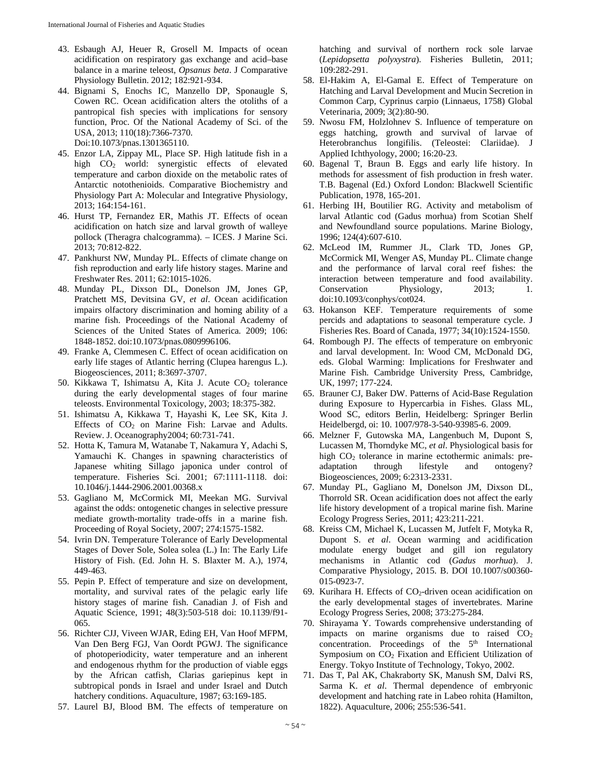- 43. Esbaugh AJ, Heuer R, Grosell M. Impacts of ocean acidification on respiratory gas exchange and acid–base balance in a marine teleost, *Opsanus beta*. J Comparative Physiology Bulletin. 2012; 182:921-934.
- 44. Bignami S, Enochs IC, Manzello DP, Sponaugle S, Cowen RC. Ocean acidification alters the otoliths of a pantropical fish species with implications for sensory function, Proc. Of the National Academy of Sci. of the USA, 2013; 110(18):7366-7370. Doi:10.1073/pnas.1301365110.
- 45. Enzor LA, Zippay ML, Place SP. High latitude fish in a high CO2 world: synergistic effects of elevated temperature and carbon dioxide on the metabolic rates of Antarctic notothenioids. Comparative Biochemistry and Physiology Part A: Molecular and Integrative Physiology, 2013; 164:154-161.
- 46. Hurst TP, Fernandez ER, Mathis JT. Effects of ocean acidification on hatch size and larval growth of walleye pollock (Theragra chalcogramma). – ICES. J Marine Sci. 2013; 70:812-822.
- 47. Pankhurst NW, Munday PL. Effects of climate change on fish reproduction and early life history stages. Marine and Freshwater Res. 2011; 62:1015-1026.
- 48. Munday PL, Dixson DL, Donelson JM, Jones GP, Pratchett MS, Devitsina GV, *et al*. Ocean acidification impairs olfactory discrimination and homing ability of a marine fish. Proceedings of the National Academy of Sciences of the United States of America*.* 2009; 106: 1848-1852. doi:10.1073/pnas.0809996106.
- 49. Franke A, Clemmesen C. Effect of ocean acidification on early life stages of Atlantic herring (Clupea harengus L.). Biogeosciences, 2011; 8:3697-3707.
- 50. Kikkawa T, Ishimatsu A, Kita J. Acute  $CO<sub>2</sub>$  tolerance during the early developmental stages of four marine teleosts. Environmental Toxicology, 2003; 18:375-382.
- 51. Ishimatsu A, Kikkawa T, Hayashi K, Lee SK, Kita J. Effects of  $CO<sub>2</sub>$  on Marine Fish: Larvae and Adults. Review. J. Oceanography2004; 60:731-741.
- 52. Hotta K, Tamura M, Watanabe T, Nakamura Y, Adachi S, Yamauchi K. Changes in spawning characteristics of Japanese whiting Sillago japonica under control of temperature. Fisheries Sci. 2001; 67:1111-1118. doi: 10.1046/j.1444-2906.2001.00368.x
- 53. Gagliano M, McCormick MI, Meekan MG. Survival against the odds: ontogenetic changes in selective pressure mediate growth-mortality trade-offs in a marine fish. Proceeding of Royal Society, 2007; 274:1575-1582.
- 54. Ivrin DN. Temperature Tolerance of Early Developmental Stages of Dover Sole, Solea solea (L.) In: The Early Life History of Fish. (Ed. John H. S. Blaxter M. A.), 1974, 449-463.
- 55. Pepin P. Effect of temperature and size on development, mortality, and survival rates of the pelagic early life history stages of marine fish. Canadian J. of Fish and Aquatic Science, 1991; 48(3):503-518 doi: 10.1139/f91- 065.
- 56. Richter CJJ, Viveen WJAR, Eding EH, Van Hoof MFPM, Van Den Berg FGJ, Van Oordt PGWJ. The significance of photoperiodicity, water temperature and an inherent and endogenous rhythm for the production of viable eggs by the African catfish, Clarias gariepinus kept in subtropical ponds in Israel and under Israel and Dutch hatchery conditions. Aquaculture, 1987; 63:169-185.
- 57. Laurel BJ, Blood BM. The effects of temperature on

hatching and survival of northern rock sole larvae (*Lepidopsetta polyxystra*). Fisheries Bulletin, 2011; 109:282-291.

- 58. El-Hakim A, El-Gamal E. Effect of Temperature on Hatching and Larval Development and Mucin Secretion in Common Carp, Cyprinus carpio (Linnaeus, 1758) Global Veterinaria, 2009; 3(2):80-90.
- 59. Nwosu FM, Holzlohnev S. Influence of temperature on eggs hatching, growth and survival of larvae of Heterobranchus longifilis. (Teleostei: Clariidae). J Applied Ichthyology, 2000; 16:20-23.
- 60. Bagenal T, Braun B. Eggs and early life history. In methods for assessment of fish production in fresh water. T.B. Bagenal (Ed.) Oxford London: Blackwell Scientific Publication, 1978, 165-201.
- 61. Herbing IH, Boutilier RG. Activity and metabolism of larval Atlantic cod (Gadus morhua) from Scotian Shelf and Newfoundland source populations. Marine Biology, 1996; 124(4):607-610.
- 62. McLeod IM, Rummer JL, Clark TD, Jones GP, McCormick MI, Wenger AS, Munday PL. Climate change and the performance of larval coral reef fishes: the interaction between temperature and food availability. Conservation Physiology, 2013; 1. doi:10.1093/conphys/cot024.
- 63. Hokanson KEF. Temperature requirements of some percids and adaptations to seasonal temperature cycle. J Fisheries Res. Board of Canada, 1977; 34(10):1524-1550.
- 64. Rombough PJ. The effects of temperature on embryonic and larval development. In: Wood CM, McDonald DG, eds. Global Warming: Implications for Freshwater and Marine Fish. Cambridge University Press, Cambridge, UK, 1997; 177-224.
- 65. Brauner CJ, Baker DW. Patterns of Acid-Base Regulation during Exposure to Hypercarbia in Fishes. Glass ML, Wood SC, editors Berlin, Heidelberg: Springer Berlin Heidelbergd, oi: 10. 1007/978-3-540-93985-6. 2009.
- 66. Melzner F, Gutowska MA, Langenbuch M, Dupont S, Lucassen M, Thorndyke MC, *et al*. Physiological basis for high CO<sub>2</sub> tolerance in marine ectothermic animals: preadaptation through lifestyle and ontogeny? Biogeosciences, 2009; 6:2313-2331.
- 67. Munday PL, Gagliano M, Donelson JM, Dixson DL, Thorrold SR. Ocean acidification does not affect the early life history development of a tropical marine fish. Marine Ecology Progress Series, 2011; 423:211-221.
- 68. Kreiss CM, Michael K, Lucassen M, Jutfelt F, Motyka R, Dupont S. *et al*. Ocean warming and acidification modulate energy budget and gill ion regulatory mechanisms in Atlantic cod (*Gadus morhua*). J. Comparative Physiology, 2015. B. DOI 10.1007/s00360- 015-0923-7.
- 69. Kurihara H. Effects of  $CO<sub>2</sub>$ -driven ocean acidification on the early developmental stages of invertebrates. Marine Ecology Progress Series, 2008; 373:275-284.
- 70. Shirayama Y. Towards comprehensive understanding of impacts on marine organisms due to raised  $CO<sub>2</sub>$ concentration. Proceedings of the  $5<sup>th</sup>$  International Symposium on CO<sub>2</sub> Fixation and Efficient Utilization of Energy. Tokyo Institute of Technology, Tokyo, 2002.
- 71. Das T, Pal AK, Chakraborty SK, Manush SM, Dalvi RS, Sarma K. *et al*. Thermal dependence of embryonic development and hatching rate in Labeo rohita (Hamilton, 1822). Aquaculture, 2006; 255:536-541.